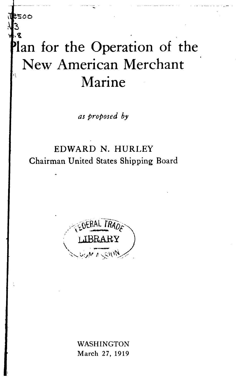# Plan for the Operation of the New American Merchant Marine

*as proposed by*

**EDWARD N. HURLEY Chairman United States Shipping Board**



WASHINGTON March 27, 1919

**I**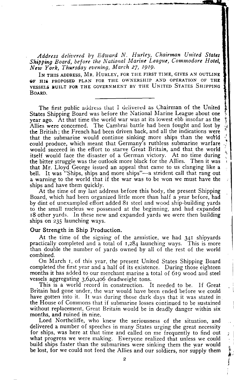*Address delivered by Edward N. Hurley, Chairman United States Shipping Board, before the National Marine League, Commodore Hotel, New York, Thursday evening, March 27, 1919.*

IN THIS ADDRESS, MR. HURLEY, FOR THE FIRST TIME, GIVES AN OUTLINE OF HIS PROPOSED PLAN FOR THE OWNERSHIP AND OPERATION OF THE VESSELS BUILT FOR THE GOVERNMENT BY THE UNITED STATES SHIPPING BOARD.

The first public address that 1 delivered as Chairman of the United States Shipping Board was before the National Marine League about one year ago. At that time the world war was at its lowest ebb insofar as the Allies were concerned. The Cambrai battle had been fought and lost by the British; the French had been driven back, and all the indications were that the submarine would continue sinking more ships than the world could produce, which meant that Germany's ruthless submarine warfare would succeed in the effort to starve Great Britain, and that the world itself would face the disaster of a German victory. At no time during the bitter struggle was the outlook more black for the Allies. Then it was that Mr. Lloyd George issued an appeal that came to us clanging like a bell. It was "Ships, ships and more ships"—a strident call that rang out a warning to the world that if the war was to be won we must have the ships and have them quickly.

Ý,

At the time of my last address before this body, the present Shipping Board, which had been organized little more than half a year before, had by dint of unexampled effort added 81 steel and wood ship-building yards to the small nucleus we possessed at the beginning, and had expanded 18 other yards. In these new and expanded yards we were then building ships on 235 launching ways.

# Our Strength in Ship Production.

At the time of the signing of the armistice, we had  $34I$  shipyards practically completed and a total of 1,284 launching ways. This is more than double the number of yards owned by all of the rest of the world combined.

On March 1, of this year, the present United States Shipping Board completed the first year and a half of its existence. During those eighteen months it has added to our merchant marine a total of 619 wood and steel vessels aggregating 3,640,406 deadweight tons.

This is a world record in construction. It needed to be. If Great Britain had gone under, the war would have been ended before we could have gotten into it. It was during those dark days that it was stated in the House of Commons that if submarine losses continued to be sustained without replacement, Great Britain would be in deadly danger within six months, and ruined in nine.

Lord Northcliffe, who knew the seriousness of the situation, and delivered a number of speeches in many States urging the great necessity for ships, was here at that time and called on me frequently to find out what progress we were making. Everyone realized that unless we could build ships faster than the submarines were sinking them the war would be lost, for we could not feed the Allies and our soldiers, nor supply them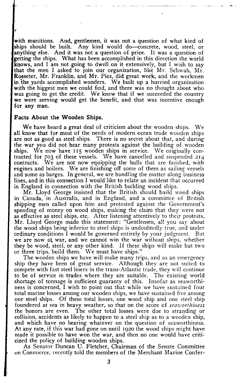with munitions. And, gentlemen, it was not a question of what kind of ships should be built. Any kind would do—concrete, wood, steel, or Any kind would do—concrete, wood, steel, or anything else. And it was not a question of price. It was a question of getting the ships. What has been accomplished in this direction the world knows, and I am not going to dwell on it extensively, but I wish to say that the men I asked to join our organization, like Mr. Schwab, Mr. Rosseter, Mr . Franklin, and Mr . Piez, did great work, and the workmen in the yards accomplished wonders. We built up a hurried organization with the biggest men we could find, and there was no thought about who was going to get the credit. We knew that if we succeeded the country we were serving would get the benefit, and that was incentive enough **for any man.**

#### **Facts About the Wooden Ships.**

We have heard a great deal of criticism about the wooden ships. We all know that for most of the needs of modern ocean trade wooden ships are not as good as steel ships. There is no secret about that, and during the war you did not hear many protests against the building of wooden ships. We now have  $115$  wooden ships in service. We originally contracted for 703 of these vessels. We have cancelled and suspended 214 contracts. We are not now equipping the hulls that are finished, with engines and boilers. We are finishing off some of them as sailing vessels and some as barges. In general, we are handling the matter along business lines, and in this connection I would like to relate an incident that occurred in England in connection with the British building wood ships.

Mr. Lloyd George insisted that the British should build wood ships in Canada, in Australia, and in England, and a committee of British shipping men called upon him and protested against the Government's spending of money on wood ships, making the claim that they were not as effective as steel ships, etc. After listening attentively to their protests, Mr. Lloyd George made this statement: "Gentlemen, all you say about the wood ships being inferior to steel ships is undoubtedly true, and under ordinary conditions I would be governed entirely by your judgment. But we are now at war, and we cannot win the war without ships, whether they be wood, steel, or any other kind. If these ships will make but two or three trips, build them. We must have ships."

The wooden ships we have will make many trips, and as an emergency ship they have been of great service. Although they are not suited to compete with fast steel liners in the trans-Atlantic trade, they will continue to be of service in trades where they are suitable. The existing world shortage of tonnage is sufficient guaranty of this. Insofar as seaworthiness is concerned, I wish to point out that while we have sustained four total marine losses among our wooden ships, we have sustained five among our steel ships. Of these total losses, one wood ship and one steel ship foundered at sea in heavy weather, so that on the score of *scazvorthiness* the honors are even. The other total losses were due to stranding or collision, accidents as likely to happen to a steel ship as to a wooden ship, and which have no bearing whatever on the question of seaworthiness. At any rate, if this war had gone on until 1920 the wood ships might have made it possible to have won the war, and then no one would have criticized the policy of building wooden ships.

As Senator Duncan U. Fletcher, Chairman of the Senate Committee on Commerce, recently told the members of the Merchant Marine Confer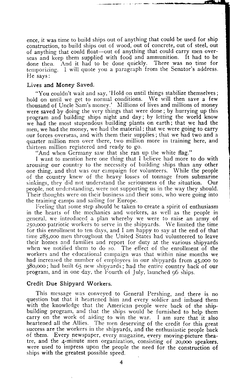ence, it was time to build ships out of anything that could be used for ship construction, to build ships out of wood, out of concrete, out of steel, out of anything that could float—out of anything that could carry men overseas and keep them supplied with food and ammunition. It had to be done then. And it had to be done quickly. There was no time for temporizing. 1 will quote you a paragraph from the Senator's address. He says:

#### Lives and Money Saved.

"You couldn't wait and say, 'Hold on until things stabilize themselves; hold on until we get to normal conditions. We will then save a few thousand of Uncle Sam's money.' Millions of lives and millions of money were saved by doing the very things that were done; by hurrying up this program and building ships night and day; by letting the world know we had the most stupendous building plants on earth; that we had the men, we had the money, we had the material; that we were going to carry our forces overseas, and with them their supplies; that we had two and a quarter million men over there, two million more in training here, and thirteen million registered and ready to go.

"And when Germany saw that she ran up the white flag."

I want to mention here one thing that I believe had more to do with arousing our country to the necessity of building ships than any other one thing, and that was our campaign for volunteers. While the people of the country knew of the heavy losses of tonnage from submarine sinkings, they did not understand the seriousness of the situation. Our people, not understanding, were not supporting us in the way they should. Their thoughts were on their business and their sons, who were going into the training camps and sailing for Europe.

Feeling that some step should be taken to create a spirit of enthusiasm in the hearts of the mechanics and workers, as well as the people in general, we introduced a plan whereby we were to raise an army of  $250,000$  patriotic workers to serve in the shipyards. We limited the time for this enrollment to ten days, and I am happy to say at the end of that time 285,000 men throughout the United States had volunteered to leave their homes and families and report for duty at the various shipyards when we notified them to do so. The effect of the enrollment of the workers and the educational campaign was that within nine months we had increased the number of employees in our shipyards from 45,000 to 380,000; had built 65 new shipyards; had the entire country back of our program, and in one day, the Fourth of July, launched 96 ships.

#### Credit Due Shipyard Workers.

This message was conveyed to General Pershing, and there is no question but that it heartened him and every soldier and imbued them with the knowledge that the American people were back of the shipbuilding program, and that the ships would be furnished to help them carry on the work of aiding to win the war. I am sure that it also heartened all the Allies. The men deserving of the credit for this great success are the workers in the shipyards, and the enthusiastic people back of them. Every newspaper, every magazine, every moving-picture theatre, and the 4-minute men organization, consisting of 20,000 speakers, were used to impress upon the people the need for the construction of ships with the greatest possible speed.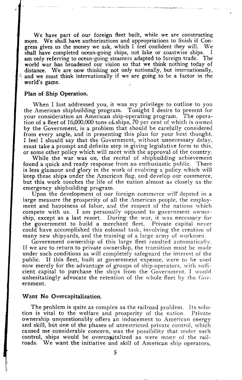We have part of our foreign fleet built, while we are constructing more. We shall have authorizations and appropriations to finish if Congress gives us the money we ask, which  $I$  feel confident they will. We shall have completed ocean-going ships, not lake or coastwise ships. am only referring to ocean-going steamers adapted to foreign trade. The world war has broadened our vision so that we think nothing today of distance. We are now thinking not only nationally, but internationally,  $\mathcal{L}$  and we must think internationally if we are going to be a factor in the world's game.

#### **Plan of Ship Operation.**

When I last addressed you, it was my privilege to outline to you the American shipbuilding program. Tonight I desire to present for your consideration an American ship-operating program. tion of a fleet of 16,000,000 tons of. ships, 70 per cent of which is owned by the Government, is a problem that should be carefully considered from every angle, and in presenting this plan for your best thought, I feel I should say that the Government, without unnecessary delay, must take a prompt and definite step in giving legislative form to this, or some other policy which will meet with the approval of the country.

While the war was on, the recital of shipbuilding achievement found a quick and ready response from an enthusiastic public. There is less glamour and glory in the work of evolving a policy which will keep these ships under the American flag, and develop our commerce, but this work touches the life of the nation almost as closely as the emergency shipbuilding program.

Upon the development of our foreign commerce will depend in a large measure the prosperity of all the American people, the employment and happiness of labor, and the respect of the nations which compete with us. I am personally opposed to government ownership, except as a last resort. During the war, it was necessary for the government to build a merchant fleet. Private capital never could have accomplished this colossal task, involving the creation of many new shipyards, and the training of a large army of workmen.

Government ownership of this large fleet resulted automatically. If we are to return to private ownership, the transition must be made under such conditions as will completely safeguard the interest of the public. If this fleet, built at government expense, were to be used now merely for the advantage of groups of ship-operators, with sufficient capital to purchase the ships from the Government, I would unhesitatingly advocate the retention of the whole fleet by the Government.

## **Want No Overcapitalization.**

The problem is quite as complex as the railroad problem. Its solution is vital to the welfare and prosperity of the nation. Private ownership unquestionably offers an inducement to American energy and skill, but one of the phases of unrestricted private control, which caused me considerable concern, was the possibility that under such control, ships would be overcapitalized as were many of the railroads. We want the initiative and skill of American ship operators,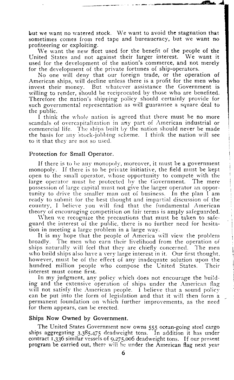but we want no watered stock. We want to avoid the stagnation that sometimes comes from red tape and bureaucracy, but we want no profiteering or exploiting.

We want the new fleet used for the benefit of the people of the United States and not against their larger interest. We want it used for the development of the nation's commerce, and not merely for the development of the private fortunes of ship-operators.

No one will deny that our foreign trade, or the operation of American ships, will decline unless there is a profit for the men who invest their money. But whatever assistance the Government is willing to render, should be reciprocated by those who are benefited. Therefore the nation's shipping policy should certainly provide for such governmental representation as will guarantee a square deal to the public.

I think the whole nation is agreed that there must be no more scandals of overcapitalization in any part of American industrial or commercial life. The ships built by the nation should never be made the basis for any "stock-jobbing scheme. I think the nation will see to it that they are not so used.

## **Protection for Small Operator.**

If there is to be any monopoly, moreover, it must be a government monopoly. If there is to be private initiative, the field must be kept open to the small operator, whose opportunity to compete with the large operator must be protected by the Government. The mere large operator must be protected by the Government. possession of large capital must not give the larger operator an opportunity to drive the smaller man out of business. In the plan I am ready to submit for the best thought and impartial discussion of the country, I believe you will find that the fundamental American theory of encouraging competition on fair terms is amply safeguarded.

When we recognize the precautions that must be taken to safeguard the interest of the public, there is no further need for hesitation in meeting a large problem in a large way.

It is my hope that the people of America will view the problem<br>broadly. The men who earn their livelihood from the operation of The men who earn their livelihood from the operation of ships naturally will feel that they are chiefly concerned. The men who build ships also have a very large interest in it. Our first thought, however, must be of the effect of any inadequate solution upon the hundred million people who compose the United States. Their hundred million people who compose the United States. interest must come first.

In my judgment, any policy which does not encourage the building and the extensive operation of ships under the American flag will not satisfy the American people. I believe that a sound policy can be put into the form of legislation and that it will then form a permanent foundation on which further improvements, as the need for them appears, can be erected.

# **Ships Now Owned by Government.**

The United States Government now owns 555 ocean-going steel cargo ships aggregating 3,385,475 deadweight tons. In addition it has under contract 1,336 similar vessels of 9,275,006 deadweight tons. If our present program be carried out, there will be under the American flag next year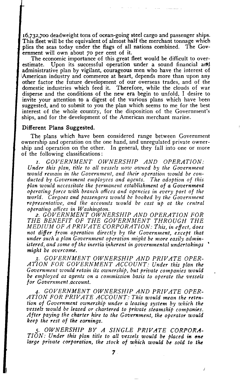16,732,700 deadweight tons of ocean-going steel cargo and passenger ships. This fleet will be the equivalent of almost half the merchant tonnage which plies the seas today under the flags of all nations combined. The Government will own about 70 per cent of it.

the contract of the contract of

The economic importance of this great fleet would be difficult to over-<br>estimate. Upon its successful operation under a sound financial and Upon its successful operation under a sound financial artd administrative plan by vigilant, courageous men who have the interest of American industry and commerce at heart, depends more than upon any other factor the future development of our overseas trades, and of the domestic industries which feed it. Therefore, while the clouds of war disperse and the conditions of the new era begin to unfold, I desire to invite your attention to a digest of the various plans which have been suggested, and to submit to you the plan which seems to me for the best interest of the whole country, for the disposition of the Government's ships, and for the development of the American merchant marine.

# **Different Plans Suggested.**

The plans which have been considered range between Government ownership and operation on the one hand, and unregulated private ownership and operation on the other. In general, they fall into one or more of the following classifications:

*1. GOVERNMENT OWNERSHIP AND OPERATION: Under this plan, title to all vessels now owned by the Government would remain in the Government, and their operation would be conducted by Government employees and agents. The adoption of this plan would necessitate the permanent establishment of a Government operating force with branch offices and agencies in every port of the world. Cargoes and passengers would be booked by the Government representative, and the accounts would be cast up at the central operating offices in Washington.*

*2. GOVERNMENT OWNERSHIP AND OPERATION FOR THE BENEFIT OF THE GOVERNMENT THROUGH THE MEDIUM OF A PRIVATE CORPORATION: This, in effect, does not differ from operation directly by the Government, except that under such a plan Government operation might be more easily administered, and some of the inertia inherent in governmental undertakings* ' *might be overcome.*

*3. GOVERNMENT OWNERSHIP AND PRIVATE OPER-ATION FOR GOVERNMENT ACCOUNT: Under this plan the Government would retain its ownership, but private companies would be employed as agents on a commission basis to operate the vessels for Government ^account.*

*4. GOVERNMENT OWNERSHIP AND PRIVATE OPER-ATION FOR PRIVATE ACCOUNT: This would mean the retention of Government ownership under a leasing system by which the vessels would be leased or chartered to private steamship companies. After paying the charter hire to the Government, the operator would keep the rest of the earnings.*

5. *OWNERSHIP BY A SINGLE PRIVATE CORPORA-TION: Under this plan title to all vessels would be placed in one large private corporation, the stock of which would be sold to the*

 $\overline{7}$ .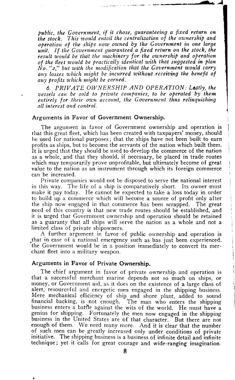*public, the Government, if it chose, guaranteeing a fixed return on the stock. This zvould entail the centralization of the ownership and operation of the ships now owned by the Government in one large unit. If the Government guaranteed a fixed return on the stock, the result would be that the machinery for the ownership and operation of the fleet zvould be practically identical zvith that suggested in plan No. "2," but with the modification that the Government would carry any losses which might be incurred zvithout receiving the benefit of any profits which might be earned.*

*6. PRIVATE OWNERSHIP AND OPERATION: Lastly, the vessels can be sold to private companies, to be operated by them entirely for their own account, the Government thus relinquishing all interest and control.*

# **Arguments in Favor of Government Ownership.**

The argument in favor of Government ownership and operation is that this great fleet, which has been created with taxpayers' money, should be used for national purposes; that the ships have not been built to earn profits as ships, but to become the servants of the nation which built them. It is urged that they should be used to develop the commerce of the nation as a whole, and that they should, if necessary, be placed in trade routes which may temporarily prove unprofitable, but ultimately become of great value to the nation as an instrument through which its foreign commerce can be increased.

Private companies would not be disposed to serve the national interest in this way. The life of a ship is comparatively short. Its owner must make it pay today. He cannot be expected to take a loss today in order to build up a commerce which will become a source of profit only after the ship now engaged in that commerce has been scrapped. The great need of this country is that new trade routes should be established, and it is urged that Government ownership and operation should be retained as a guaranty that all ships will serve the nation as a whole and not a limited class of private shipowners.

A further argument in favor of public ownership and operation is that in case of a national emergency such as has just been experienced, the Government would be in a position immediately to convert its merchant fleet into a military weapon.

#### **Arguments in Favor of Private Ownership.**

The chief argument in favor of private ownership and operation is that a successful merchant marine depends not so much on ships, or money, or Government aid, as it does on the existence of a large class of alert, resourceful and energetic men engaged in the shipping business. Mere mechanical efficiency of ship and shore plant, added to sound financial backing, is not enough. The man who enters the shipping business enters a battle against the wits of the world. He must have a genius for shipping. Fortunately the men now engaged in the shipping business in the United States are of that character. But there are not enough of them. We need many more. And it is clear that the number of such men can be greatly increased only under conditions of private initiative. The shipping business is a business of infinite detail and infinite technique; yet it calls for great courage and wide-ranging imagination.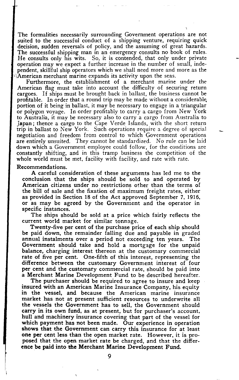**The formalities necessarily surrounding Government operations are not suited to the successful conduct of a shipping venture, requiring quick decision, sudden reversals of policy, and the assuming of great hazards.** The successful shipping man in an emergency consults no book of rules. **<sup>H</sup> e consults only** his **wits.** So, **it** is contended, that only under private **operation** may we expect a further increase in the number of small, inde**pendent, skillful ship** operators **which**<sup>w</sup> e shall need more and more as the **s \American** merchant **marine** expands its activity upon the seas.

Furthermore, the establishment of a merchant marine under the **American flag** must take into account the difficulty of securing **return cargoes. If** ships must be brought back in ballast, the business cannot be profitable. In order that a round trip may be made without a considerable **portion of it being in ballast, it may be necessary to engage in a triangular** or polygon voyage. In order profitably to carry a cargo from New York to Australia, it may be necessary also to carry a cargo from Australia to **japan**; **thence** a cargo to the Cape Verde Islands, with the short return trip in ballast to New York. Such operations require a degree of special negotiation and freedom from control to which Government operations are entirely unsuited. They cannot be standardized. No rule can be laid **down which** a Government employee could follow, for the conditions are constantly shifting, and in this tramp business the competition of the whole world must be met, facility with facility, and rate with rate.

# **Recommendations.**

A careful consideration of these arguments has led me to the **conclusion that the ships should be sold to and operated by American citizens under no restrictions other than the terms of** the bill of sale and the fixation of maximum freight rates, either **as provided in Section 18 of the Act approved September 7, 1916, or as ma y be agreed by the Government and the operator in specific instances.**

The ships should be sold at a price which fairly reflects the **current world market for similar tonnage.**

**Twenty-five per cent of the purchase price of each ship should be paid down, the remainder falling due and payable in graded annual instalments over a period not exceeding ten years. The Government should take and hold a mortgage for the unpaid balance, charging interest thereon at the customary commercial rate of five per cent. One-fifth of this interest, representing the difference between the customary Government interest of four per cent and the customary commercial rate, should be paid into a Merchant Marine Development Fund to be described hereafter.**

**T he purchaser should be required to agree to insure and keep insured with an American Marine Insurance Company , his equity in the vessel, and because the American marine insurance market has not at present sufficient resources to underwrite all the vessels the Government has to sell, the Government should** carry in its own fund, as at present, but for purchaser's account, **hull and machinery insurance covering that part of the vessel for which payment has not been made . Our experience in operation shows that the Government can carry this insurance for at least** one **per cent less than the open market rate. However, it is proposed that the open market rate be charged, and that the difference be paid into the Merchant Marine Development Fund.**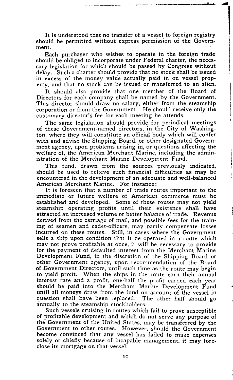**It is understood that no transfer of a vessel to foreign registry should be permitted without express permission of the Government.**

Each purchaser who wishes to operate in the foreign trade **should be obliged to incorporate under Federal charter, the necessary legislation for which should be passed by Congress without delay. Such a charter should provide that no stock shall be issued in excess of the money value actually paid in on vessel property, and that no stock can be issued or transferred to an alien.**

It should also provide that one member of the Board of **Directors for each company shall be named by the Government. This director should draw no salary, either from the steamship** corporation or from the Government. He should receive only the **customary director's fee for each meeting he attends.**

The same legislation should provide for periodical meetings **of these Government-named directors, in the City of Washington, where they will constitute an official body which will confer with and advise the Shipping Board, or other designated Government agency, upon problems arising in, or questions affecting the welfare of, the American Merchant Marine, including the administration of the Merchant Marine Development Fund.**

**This fund, drawn from the sources previously indicated,** should be used to relieve such financial difficulties as may be **encountered in the development of an adequate and well-balanced American Merchant Marine. For instance:**

**It is foreseen that a number of trade routes important to the immediate or future welfare of American commerce must be** established and developed. Some of these routes may not yield **steamship operating profits until their existence shall have attracted an increased volume or better balance of trade. Revenue derived from the carriage of mail, and possible fees for the train**ing of seamen and cadet-officers, may partly compensate losses **incurred on these routes. Still, in cases where the Government sells a ship upon condition that it be operated in a route which m a y not prove profitable at once, it will be necessary to provide for the payment of defaulted interest from the Merchant Marine Development Fund, in the discretion of the Shipping Board or other Government agency, upon recommendation cf the Board of Government Directors, until such time as the route may begin** to yield profit. When the ships in the route earn their annual **interest rate and a profit, one-half the profit earned each year should be paid into the Merchant Marine Development Fund until all moneys draw from the fund on account of the vessel in question shall have been replaced. The other half should go annually to the steamship stockholders.**

**Such vessels cruising in routes which fail to prove susceptible of profitable development and which do not serve any purpose of** the Government of the United States, may be transferred by the **Government to other routes. However, should the Government become convinced that any vessel has failed to make expenses** solely or chiefly because of incapable management, it may fore**close its mortgage on that vessel.**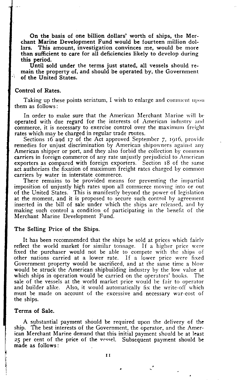**<sup>O</sup> n the basis of one billion dollars' worth of ships, the Mer chant Marine Development Fund would be fourteen million dol**lars. This amount, investigation convinces me, would be more **than sufficient to care for all deficiencies likely to** develop during **this period.**

**Until sold under the terms just stated, all** vessels should **remain the property of, and should be operated by, the** Government  **of the United States.**

# **Control of Rates.**

i.

Taking up these points seriatum, I wish to enlarge and comment upon them as follows:

In order to make sure that the American Merchant Marine will be operated with due regard for the interests of American industry and commerce, it is necessary to exercise control over the maximum freight rates which may be charged in regular trade routes.

Sections 16 and 17 of the Act approved September 7, 1916, provide remedies for unjust discrimination by American shipowners against any American shipper or port, and they also forbid the collection by common carriers in foreign commerce of any rate unjustly prejudicial to American exporters as compared with foreign exporters. Section 18 of the same act authorizes the fixation of maximum freight rates charged by common carriers by water in interstate commerce.

There remains to be provided means for preventing the impartial imposition of unjustly high rates upon all commerce moving into or out of the United States. This is manifestly beyond the power of legislation at the moment, and it is proposed to secure such control by agreement inserted in the bill of sale under which the ships are released, and by making such control a condition of participating in the benefit of the Merchant Marine Development Fund.

# The Selling Price of the Ships.

**It** has been recommended that the ships be sold at prices which fairly reflect the world market for similar tonnage. If a higher price were fixed the purchaser would not be able to compete with the ships of other nations carried at a lower rate. If a lower price were fixed Government property would be sacrificed, and at the same time a blow would be struck the American shipbuilding industry by the low value at which ships in operation would be carried on the operators' books. The sale of the vessels at the world market price would be fair to operator and builder alike. Also, it would automatically fix the write-off which must be made on account of the excessive and necessary war-cost of the ships.

#### **Terms of Sale.**

A substantial payment should be required upon the delivery of the ship. The best interests of the Government, the operator, and the American Merchant Marine demand that this initial payment should be at least 25 per cent of the price of the vessel. Subsequent payment should be made as follows: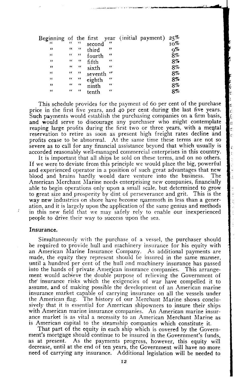| Beginning of the first year (initial payment) $25\%$<br>"<br>"<br>66<br>66 | 44<br>$\epsilon$<br>66<br>$\epsilon$ | $\epsilon$<br>"<br>66<br>46 | second<br>third<br>fourth<br>fifth | "<br>66<br>$\epsilon$<br>$\epsilon$ |  | 10%<br>9%<br>8%<br>8% |
|----------------------------------------------------------------------------|--------------------------------------|-----------------------------|------------------------------------|-------------------------------------|--|-----------------------|
| 66                                                                         | $\bullet\bullet$                     | 46                          | sixth                              | $\epsilon$                          |  | 8%                    |
| 44<br>66                                                                   | $\epsilon$<br>"                      | 66<br>46                    | seventh                            | 66<br>"                             |  | 8%                    |
| 66                                                                         | $\epsilon$                           | 66                          | eighth<br>ninth                    | "                                   |  | 8%<br>8%              |
| 44                                                                         | 66                                   | "                           | tenth                              | 66                                  |  | 8%                    |

This schedule provides for the payment of 60 per cent of the purchase price in the first five years, and 40 per cent during the last five years. Such payments would establish the purchasing companies on a firm basis, and would serve to discourage any purchaser who might contemplate reaping large profits during the first two or three years, with a mental reservation to retire as soon as present high freight rates decline and profits cease to be abnormal. At the same time these terms are not so severe as to call for any financial assistance beyond that which usually is accorded reasonably well-managed commercial enterprises in this country.

r ar Grip

|<br>T  $\begin{bmatrix} 0 \ 0 \end{bmatrix}$ le. r  $\mathfrak{c}$ 

It is important that all ships be sold on these terms, and on no others. If we were to deviate from this principle we would place the big, powerful and experienced operator in a position of such great advantages that new<br>blood and brains hardly would dare venture into the business. The blood and brains hardly would dare venture into the business. American Merchant Marine needs enterprising new companies, financially able to begin operations only upon a small scale, but determined to grow to great size and prosperity by dint of perseverance and grit. This is the way new industries on shore have become mammoth in less than a generation, and it is largely upon the application of the same genius and methods in this new field that we may safely rely to enable our inexperienced people to drive their way to success upon the sea.

#### Insurance.

 $\mathcal{L}$ 

Simultaneously with the purchase of a vessel, the purchaser should be required to provide hull and machinery insurance for his equity with an American Marine Insurance Company. As additional payments are made, the equity they represent should be insured in the same manner, until a hundred per cent of the hull and machinery insurance has passed into the hands of private American insurance companies. This arrangement would achieve the double purpose of relieving the Government of the' insurance risks which the exigencies of war have compelled it to assume, and of making possible the development of an American marine insurance market capable of carrying insurance on all the vessels under the American flag. The history of our Merchant Marine shows conclusively that it is essential for American shipowners to insure their ships with American marine insurance companies. An American marine insurance market is as vital a necessity to an American Merchant Marine as is American capital to the steamship companies which constitute it.

That part of the equity in each ship which is covered by the Government's mortgage should continue to be insured in the Government's funds, as at present. As the payments progress, however, this equity will decrease, until at the end of ten years, the Government will have no more need of carrying any insurance. Additional legislation will be needed to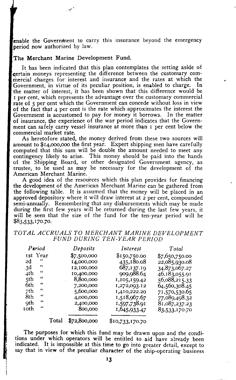enable the Government to carry this insurance beyond the emergency period now authorized by law.

## The Merchant Marine Development Fund.

It has been indicated that this plan contemplates the setting aside of gertain moneys representing the difference between the customary commercial charges for interest and insurance and the rates at which the Government, in virtue of its peculiar position, is enabled to charge. In the matter of interest, it has been shown that this difference would be I per cent, which represents the advantage over the customary commercial rate of 5 per cent which the Government can concede without loss in view of the fact that 4 per cent is the rate which approximates the interest the Government is accustomed to pay for money it borrows. In the matter of insurance, the experience of the war period indicates that the Government can safely carry vessel insurance at more than 1 per cent below the commercial market rate.

As heretofore stated, the money derived from these two sources will amount to \$14,000,000 the first year. Expert shipping men have carefully computed that this sum will be double the amount needed to meet any contingency likely to arise. This money should be paid into the hands of the Shipping Board, or other designated Government agency, as trustee, to be used as may be necessary for the development of the American Merchant Marine.

A good idea of the resources which this plan provides for financing the development of the American Merchant Marine can be gathered from the following table. It is assumed that the money will be placed in an approved depository where it will draw interest at 2 per cent, compounded semi-annually. Remembering that any disbursements which may be made during the first few years will be returned during the last few years, it will be seen that the size of the fund for the ten-year period will be \$83,533,170.70.

# *TOTAL ACCRUALS TO MERCHANT MARINE DEVELOPMENT FUND DURING TEN-YEAR PERIOD*

| Pariod   |    |       | Deposits     | Interest        | Total          |  |
|----------|----|-------|--------------|-----------------|----------------|--|
| Ist Year |    |       | \$7,500,000  | \$150,750.00    | \$7,650,750.00 |  |
| 2d       | 66 |       | 14,000,000   | 435,180.08      | 22,085,930.08  |  |
| 3d       | 66 |       | 12,100,000   | 687,137.19      | 34,873,067.27  |  |
| 4th      | 66 |       | 10,400,000   | 909,988.64      | 46,183,055.91  |  |
| 5th      | "  |       | 8,800,000    | 1,105,159.42    | 56,088,215.33  |  |
| 6th      | 66 |       | 7,200,000    | 1,272,093.12    | 64,560,308.45  |  |
| 7th      | 66 |       | 5,600,000    | 1,410,222.20    | 71,570,530.65  |  |
| 8th      | 66 |       | 4,000,000    | 1,518,967.67    | 77,089,498.32  |  |
| 9th      | 66 |       | 2,400,000    | 1,597,738.91    | 81,087,237.23  |  |
| 10th     | 66 |       | 800,000      | 1,645,933.47    | 83,533,170.70  |  |
|          |    | Total | \$72,800,000 | \$10,733,170.70 |                |  |

The purposes for which this fund may be drawn upon and the conditions under which operators will be entitled to aid have already been indicated. It is impossible at this time to go into greater detail, except to say that in view of the peculiar character of the ship-operating business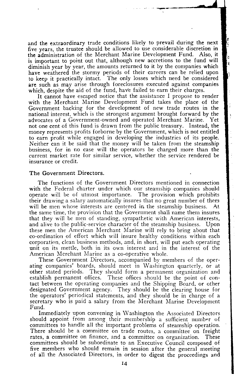and the extraordinary trade conditions likely to prevail during the next five years, the trustee should be allowed to use considerable discretion in j the administration of the Merchant Marine Development Fund. Also, it is important to point out that, although new accretions to the fund will diminish year by year, the amounts returned to it by the companies which have weathered the stormy periods of their careers can be relied upon to keep it practically intact. The only losses which need be considered are such as may arise through foreclosures executed against companies which, despite the aid of the fund, have failed to earn their charges.

 $\frac{1}{c}$ 

It cannot have escaped notice that the assistance I propose to render with the Merchant Marine Development Fund takes the place of the Government backing for the development of new trade routes in the national interest, which is the strongest argument brought forward by the advocates of a Government-owned and operated Merchant Marine. Yet not one cent of this fund is drawn from the public treasury. Instead, the money represents profits forborne by the Government, which is not entitled to earn profit while engaged in developing the industries of its people. Neither can it be said that the money will be taken from the steamship business, for in no case will the operators be charged more than the current market rate for similar service, whether the service rendered be insurance or credit.

# The Government Directors.

The functions of the Government Directors mentioned in connection with the Federal charter under which our steamship companies should operate will be of utmost importance. The provision which prohibits their drawing a salary automatically insures that no great number of them will be men whose interests are centered in the steamship business. the same time, the provision that the Government shall name them insures that they will be men of standing, sympathetic with American interests, and alive to the public-service character of the steamship business. Upon these men the American Merchant Marine will rely to bring about that co-ordination of effort which will insure healthy conditions within each corporation, clean business methods, and, in short, will put each operating unit on its mettle, both in its own interest and in the interest of the American Merchant Marine as a co-operative whole.

These Government Directors, accompanied by members of the operating companies' boards, should meet in Washington quarterly, or at other stated periods. They should form a permanent organization and establish permanent offices. These offices should be the point of contact between the operating companies and the Shipping Board, or other designated Government agency. They should be the clearing house for the operators' periodical statements, and they should be in charge of a secretary who is paid a salary from the Merchant Marine Development Fund.

Immediately upon convening in Washington the Associated Directors should appoint from among their membership a sufficient number of committees to handle all the important problems of steamship operation. There should be a committee on trade routes, a committee on freight rates, a committee on finance, and a committee on organization. These committees should be subordinate to an Executive Council composed of five members who should remain in session after the general meeting of all the Associated Directors, in order to digest the proceedings and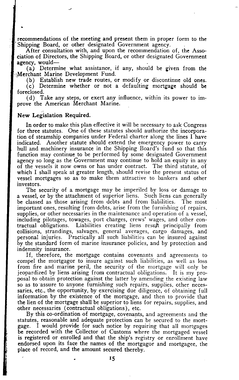**recommendations** of the meeting and present them in proper form to the Shipping Board, or other designated Government agency.

After consultation with, and upon the recommendation of, the Association of Directors, the Shipping Board, or other designated Government agency, would—

(a) Determine what assistance, if any, should be given from the ^Merchant Marine Development Fund.

(b) Establish new trade routes, or modify or discontinue old ones.

(c) Determine whether or not a defaulting mortgage should be foreclosed.

(d) Take any steps, or exert any influence, within its power to improve the American Merchant Marine.

# **N e w Legislation Required.**

In order to make this plan effective it will be necessary to ask Congress for three statutes. One of these statutes should authorize the incorporation of steamship companies under Federal charter along the lines I have indicated. Another statute should extend the emergency power to carry hull and machinery insurance in the Shipping Board's fund so that this function may continue to be performed by some designated Government agency so long as the Government may continue to hold an equity in any of the vessels it now owns or has under contract. The third statute, of which I shall speak at greater length, should revise the present status of vessel mortgages so as to make them attractive to bankers and other investors.

The security of a mortgage may be imperiled by loss or damage to a vessel, or by the attachment of superior liens. Such liens can generally be classed as those arising from debts and from liabilities. The most important ones, resulting from debts, arise from the furnishing of repairs, supplies, or other necessaries in the maintenance and operation of a vessel, including pilotages, towages, port charges, crews' wages, and other contractual obligations. Liabilities creating liens result principally from collisions, strandings, salvages, general averages, cargo damages, and personal injuries. Practically all such liabilities can be insured against by the standard form of marine insurance policies, and by protection and indemnity insurance.

If, therefore, the mortgage contains covenants and agreements to compel the mortgagor to insure against such liabilities, as well as loss from fire and marine peril, the security of the mortgage will only be jeopardized by liens arising from contractual obligations. It is my proposal to obtain protection against the latter by amending the existing law so as to assure to anyone furnishing such repairs, supplies, other necessaries, etc., the opportunity, by exercising due diligence, of obtaining full information by the existence of the mortgage, and then to provide that the lien of the mortgage shall be superior to liens for repairs, supplies, and other necessaries (contractual obligations), etc.

By this co-ordination of mortgage, covenants, and agreements and the statutes, reasonable and adequate protection can be secured to the mort-<br>gage. I would provide for such notice by requiring that all mortgages I would provide for such notice by requiring that all mortgages be recorded with the Collector of Customs where the mortgaged vessel is registered or enrolled and that the ship's registry or enrollment have endorsed upon its face the names of the mortgagor and mortgagee, the place of record, and the amount secured thereby.